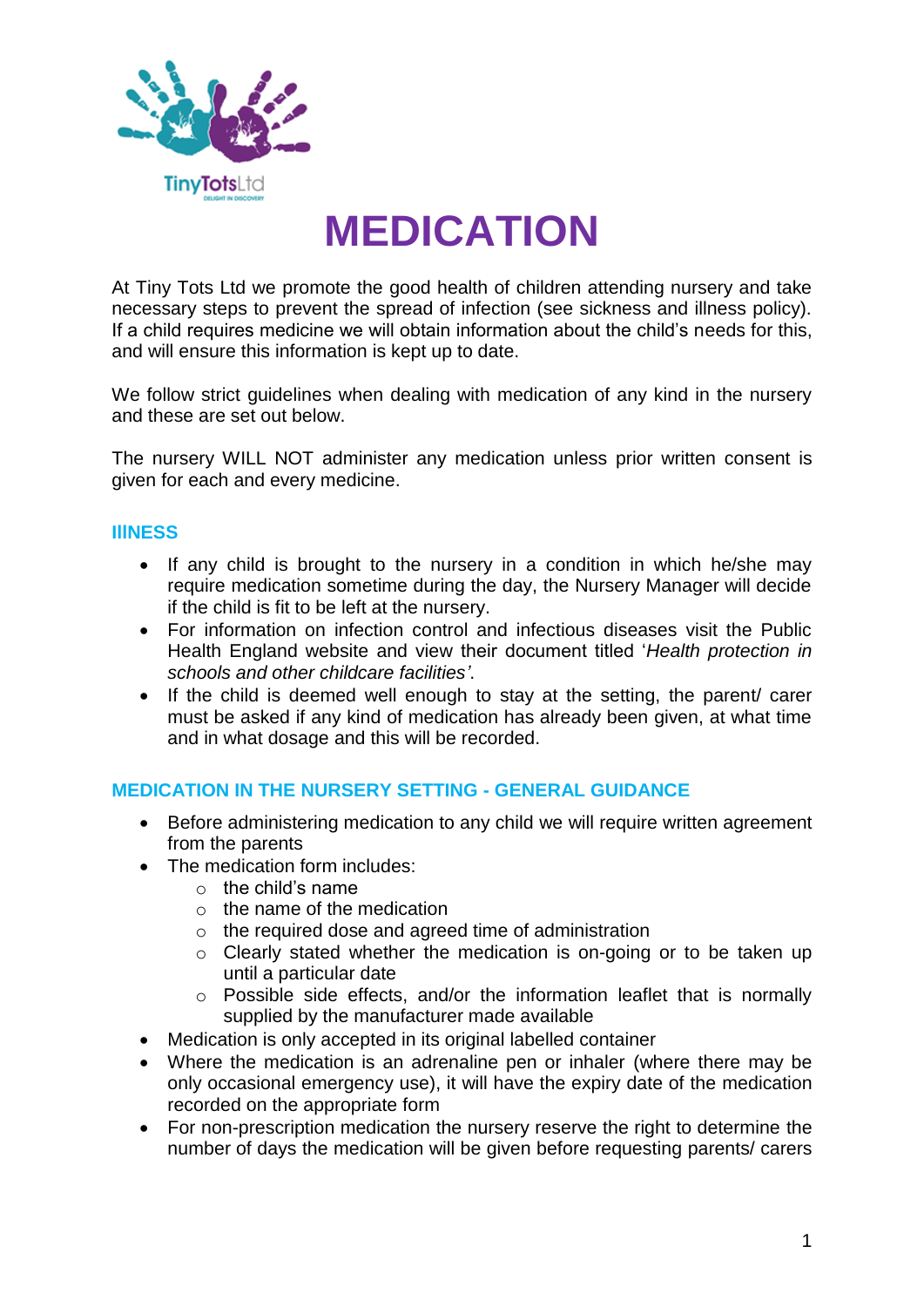

# **MEDICATION**

At Tiny Tots Ltd we promote the good health of children attending nursery and take necessary steps to prevent the spread of infection (see sickness and illness policy). If a child requires medicine we will obtain information about the child's needs for this, and will ensure this information is kept up to date.

We follow strict guidelines when dealing with medication of any kind in the nursery and these are set out below.

The nursery WILL NOT administer any medication unless prior written consent is given for each and every medicine.

#### **IllNESS**

- If any child is brought to the nursery in a condition in which he/she may require medication sometime during the day, the Nursery Manager will decide if the child is fit to be left at the nursery.
- For information on infection control and infectious diseases visit the Public Health England website and view their document titled '*Health protection in schools and other childcare facilities'*.
- If the child is deemed well enough to stay at the setting, the parent/ carer must be asked if any kind of medication has already been given, at what time and in what dosage and this will be recorded.

#### **MEDICATION IN THE NURSERY SETTING - GENERAL GUIDANCE**

- Before administering medication to any child we will require written agreement from the parents
- The medication form includes:
	- $\circ$  the child's name
	- $\circ$  the name of the medication
	- o the required dose and agreed time of administration
	- o Clearly stated whether the medication is on-going or to be taken up until a particular date
	- o Possible side effects, and/or the information leaflet that is normally supplied by the manufacturer made available
- Medication is only accepted in its original labelled container
- Where the medication is an adrenaline pen or inhaler (where there may be only occasional emergency use), it will have the expiry date of the medication recorded on the appropriate form
- For non-prescription medication the nursery reserve the right to determine the number of days the medication will be given before requesting parents/ carers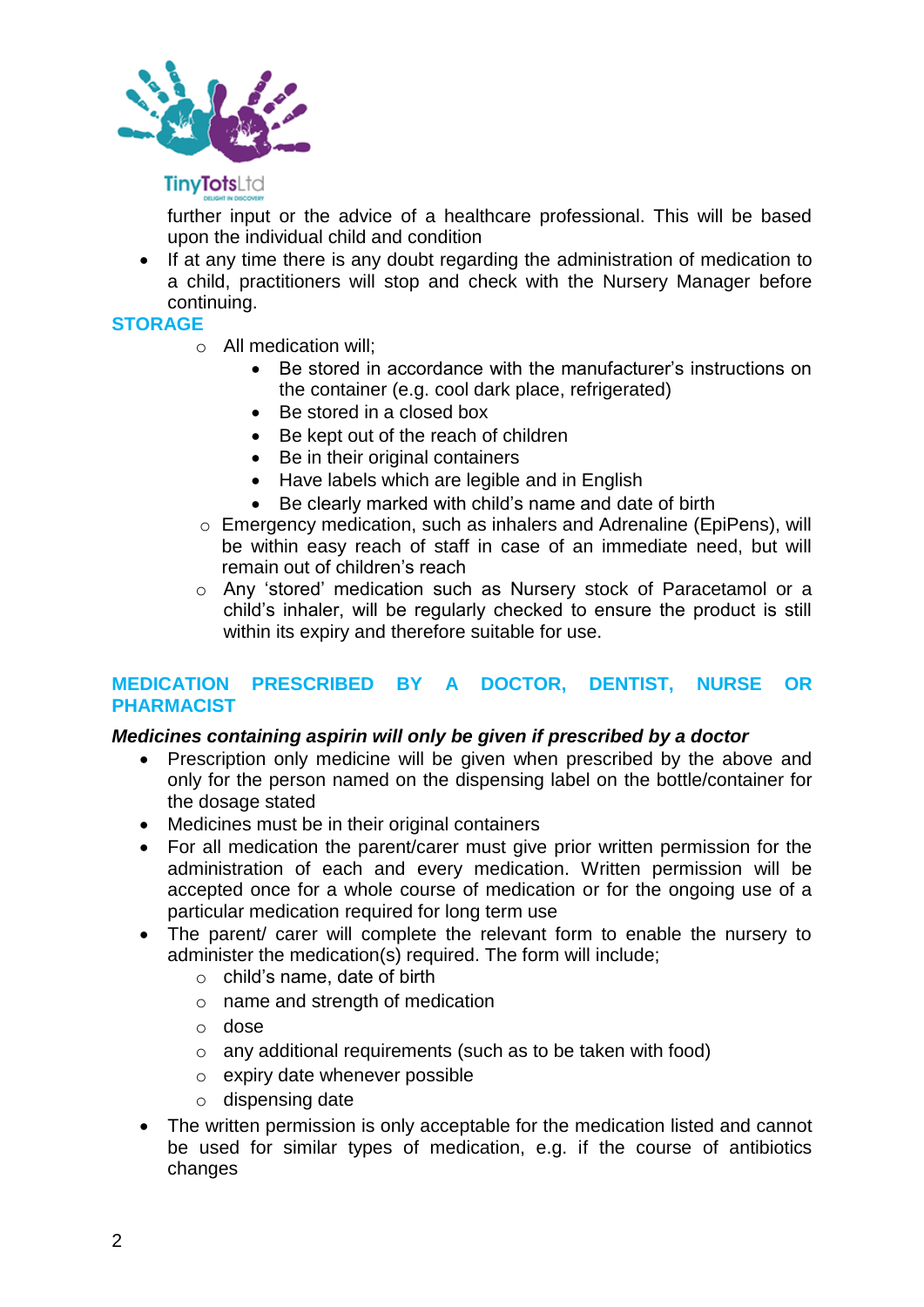

# **TinyTots**Ltd

further input or the advice of a healthcare professional. This will be based upon the individual child and condition

• If at any time there is any doubt regarding the administration of medication to a child, practitioners will stop and check with the Nursery Manager before continuing.

# **STORAGE**

- o All medication will;
	- Be stored in accordance with the manufacturer's instructions on the container (e.g. cool dark place, refrigerated)
	- Be stored in a closed box
	- Be kept out of the reach of children
	- Be in their original containers
	- Have labels which are legible and in English
	- Be clearly marked with child's name and date of birth
- o Emergency medication, such as inhalers and Adrenaline (EpiPens), will be within easy reach of staff in case of an immediate need, but will remain out of children's reach
- o Any 'stored' medication such as Nursery stock of Paracetamol or a child's inhaler, will be regularly checked to ensure the product is still within its expiry and therefore suitable for use.

# **MEDICATION PRESCRIBED BY A DOCTOR, DENTIST, NURSE OR PHARMACIST**

#### *Medicines containing aspirin will only be given if prescribed by a doctor*

- Prescription only medicine will be given when prescribed by the above and only for the person named on the dispensing label on the bottle/container for the dosage stated
- Medicines must be in their original containers
- For all medication the parent/carer must give prior written permission for the administration of each and every medication. Written permission will be accepted once for a whole course of medication or for the ongoing use of a particular medication required for long term use
- The parent/ carer will complete the relevant form to enable the nursery to administer the medication(s) required. The form will include;
	- o child's name, date of birth
	- o name and strength of medication
	- o dose
	- o any additional requirements (such as to be taken with food)
	- o expiry date whenever possible
	- o dispensing date
- The written permission is only acceptable for the medication listed and cannot be used for similar types of medication, e.g. if the course of antibiotics changes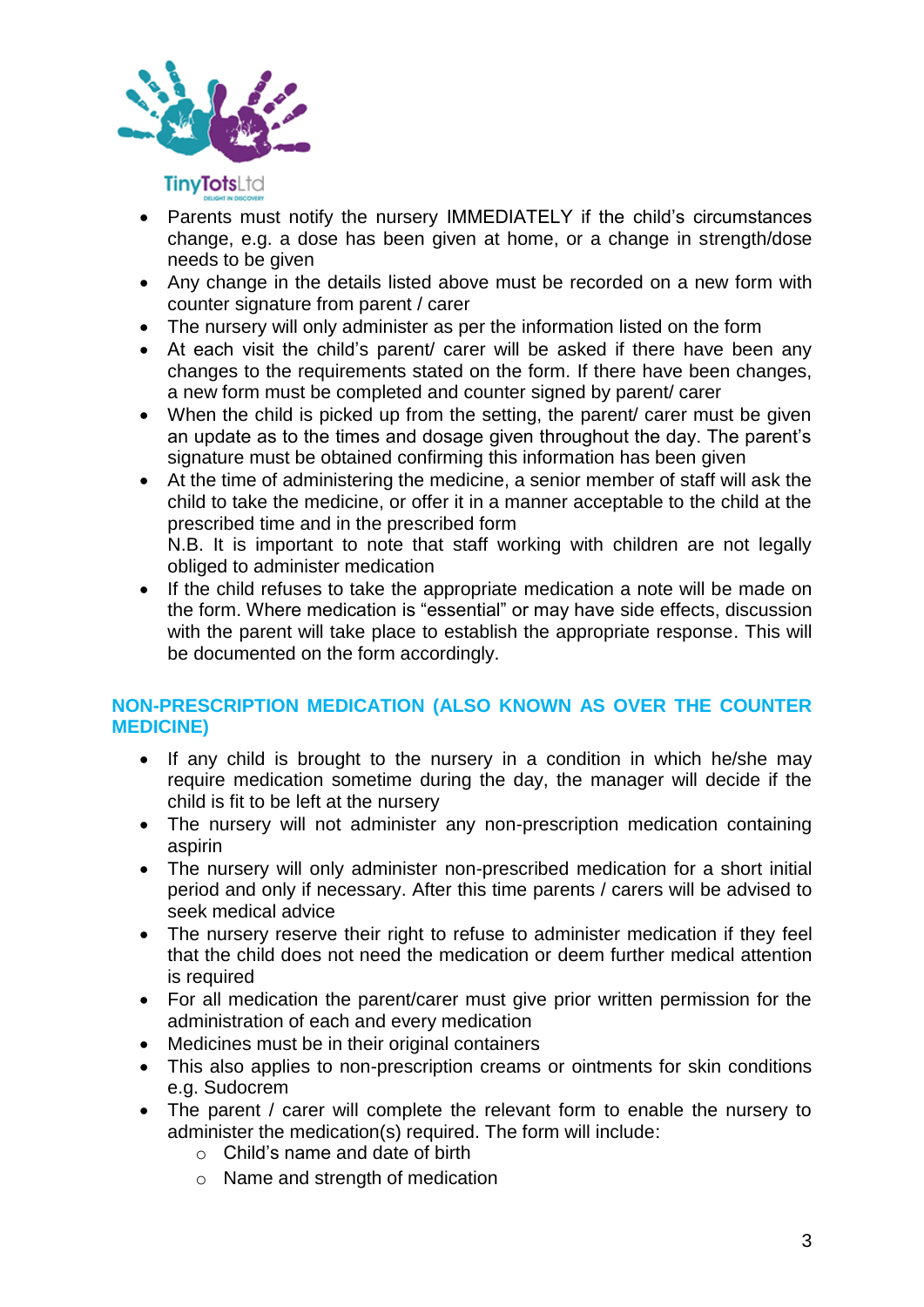

- Parents must notify the nursery IMMEDIATELY if the child's circumstances change, e.g. a dose has been given at home, or a change in strength/dose needs to be given
- Any change in the details listed above must be recorded on a new form with counter signature from parent / carer
- The nursery will only administer as per the information listed on the form
- At each visit the child's parent/ carer will be asked if there have been any changes to the requirements stated on the form. If there have been changes, a new form must be completed and counter signed by parent/ carer
- When the child is picked up from the setting, the parent/ carer must be given an update as to the times and dosage given throughout the day. The parent's signature must be obtained confirming this information has been given
- At the time of administering the medicine, a senior member of staff will ask the child to take the medicine, or offer it in a manner acceptable to the child at the prescribed time and in the prescribed form N.B. It is important to note that staff working with children are not legally obliged to administer medication
- If the child refuses to take the appropriate medication a note will be made on the form. Where medication is "essential" or may have side effects, discussion with the parent will take place to establish the appropriate response. This will be documented on the form accordingly.

# **NON-PRESCRIPTION MEDICATION (ALSO KNOWN AS OVER THE COUNTER MEDICINE)**

- If any child is brought to the nursery in a condition in which he/she may require medication sometime during the day, the manager will decide if the child is fit to be left at the nursery
- The nursery will not administer any non-prescription medication containing aspirin
- The nursery will only administer non-prescribed medication for a short initial period and only if necessary. After this time parents / carers will be advised to seek medical advice
- The nursery reserve their right to refuse to administer medication if they feel that the child does not need the medication or deem further medical attention is required
- For all medication the parent/carer must give prior written permission for the administration of each and every medication
- Medicines must be in their original containers
- This also applies to non-prescription creams or ointments for skin conditions e.g. Sudocrem
- The parent / carer will complete the relevant form to enable the nursery to administer the medication(s) required. The form will include:
	- $\circ$  Child's name and date of birth
	- o Name and strength of medication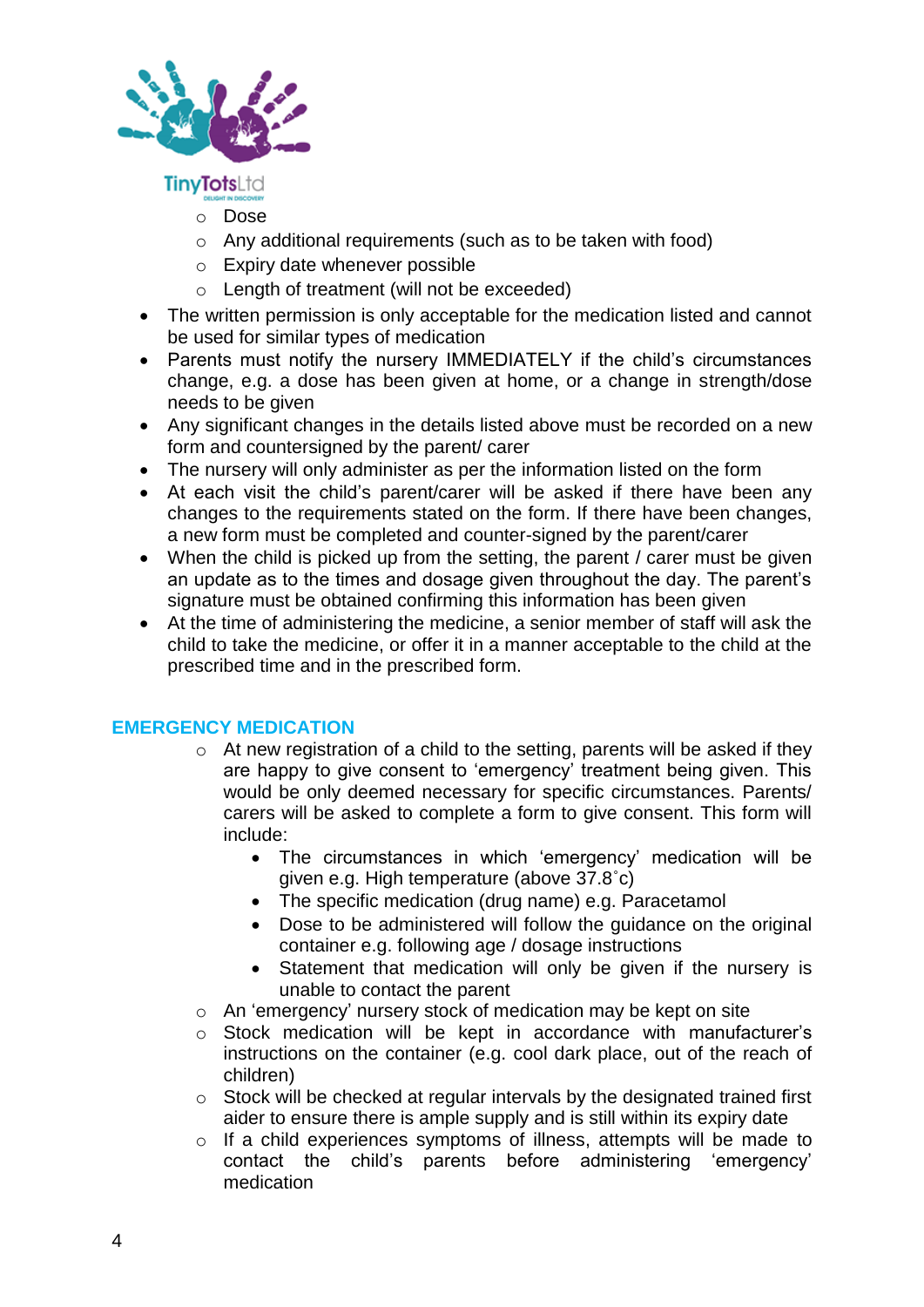

**TinyTots**Ltd

- o Dose
- o Any additional requirements (such as to be taken with food)
- o Expiry date whenever possible
- o Length of treatment (will not be exceeded)
- The written permission is only acceptable for the medication listed and cannot be used for similar types of medication
- Parents must notify the nursery IMMEDIATELY if the child's circumstances change, e.g. a dose has been given at home, or a change in strength/dose needs to be given
- Any significant changes in the details listed above must be recorded on a new form and countersigned by the parent/ carer
- The nursery will only administer as per the information listed on the form
- At each visit the child's parent/carer will be asked if there have been any changes to the requirements stated on the form. If there have been changes, a new form must be completed and counter-signed by the parent/carer
- When the child is picked up from the setting, the parent / carer must be given an update as to the times and dosage given throughout the day. The parent's signature must be obtained confirming this information has been given
- At the time of administering the medicine, a senior member of staff will ask the child to take the medicine, or offer it in a manner acceptable to the child at the prescribed time and in the prescribed form.

# **EMERGENCY MEDICATION**

- o At new registration of a child to the setting, parents will be asked if they are happy to give consent to 'emergency' treatment being given. This would be only deemed necessary for specific circumstances. Parents/ carers will be asked to complete a form to give consent. This form will include:
	- The circumstances in which 'emergency' medication will be given e.g. High temperature (above 37.8˚c)
	- The specific medication (drug name) e.g. Paracetamol
	- Dose to be administered will follow the guidance on the original container e.g. following age / dosage instructions
	- Statement that medication will only be given if the nursery is unable to contact the parent
- o An 'emergency' nursery stock of medication may be kept on site
- o Stock medication will be kept in accordance with manufacturer's instructions on the container (e.g. cool dark place, out of the reach of children)
- $\circ$  Stock will be checked at regular intervals by the designated trained first aider to ensure there is ample supply and is still within its expiry date
- o If a child experiences symptoms of illness, attempts will be made to contact the child's parents before administering 'emergency' medication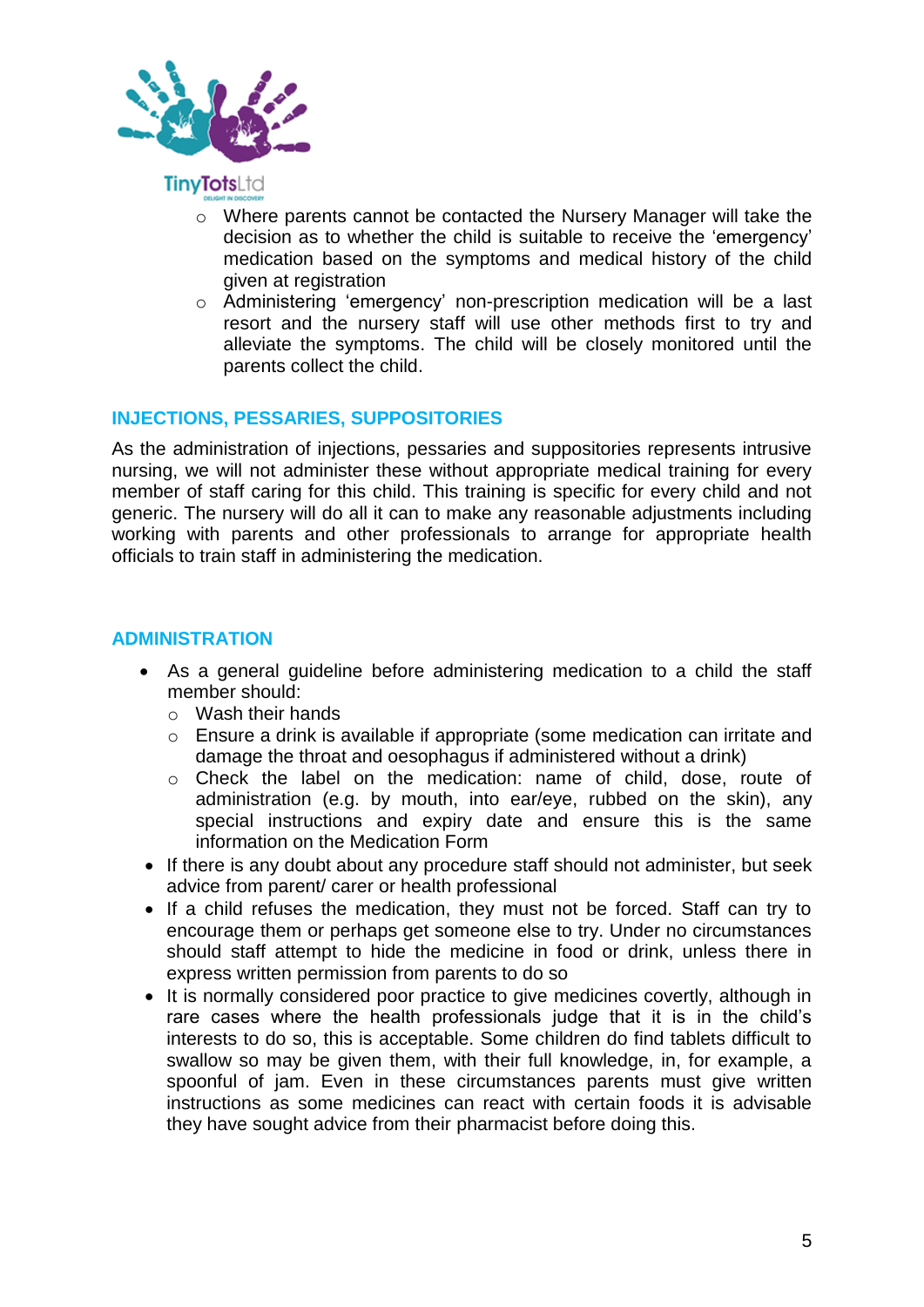

- o Where parents cannot be contacted the Nursery Manager will take the decision as to whether the child is suitable to receive the 'emergency' medication based on the symptoms and medical history of the child given at registration
- o Administering 'emergency' non-prescription medication will be a last resort and the nursery staff will use other methods first to try and alleviate the symptoms. The child will be closely monitored until the parents collect the child.

# **INJECTIONS, PESSARIES, SUPPOSITORIES**

As the administration of injections, pessaries and suppositories represents intrusive nursing, we will not administer these without appropriate medical training for every member of staff caring for this child. This training is specific for every child and not generic. The nursery will do all it can to make any reasonable adjustments including working with parents and other professionals to arrange for appropriate health officials to train staff in administering the medication.

#### **ADMINISTRATION**

- As a general guideline before administering medication to a child the staff member should:
	- o Wash their hands
	- o Ensure a drink is available if appropriate (some medication can irritate and damage the throat and oesophagus if administered without a drink)
	- o Check the label on the medication: name of child, dose, route of administration (e.g. by mouth, into ear/eye, rubbed on the skin), any special instructions and expiry date and ensure this is the same information on the Medication Form
- If there is any doubt about any procedure staff should not administer, but seek advice from parent/ carer or health professional
- If a child refuses the medication, they must not be forced. Staff can try to encourage them or perhaps get someone else to try. Under no circumstances should staff attempt to hide the medicine in food or drink, unless there in express written permission from parents to do so
- It is normally considered poor practice to give medicines covertly, although in rare cases where the health professionals judge that it is in the child's interests to do so, this is acceptable. Some children do find tablets difficult to swallow so may be given them, with their full knowledge, in, for example, a spoonful of jam. Even in these circumstances parents must give written instructions as some medicines can react with certain foods it is advisable they have sought advice from their pharmacist before doing this.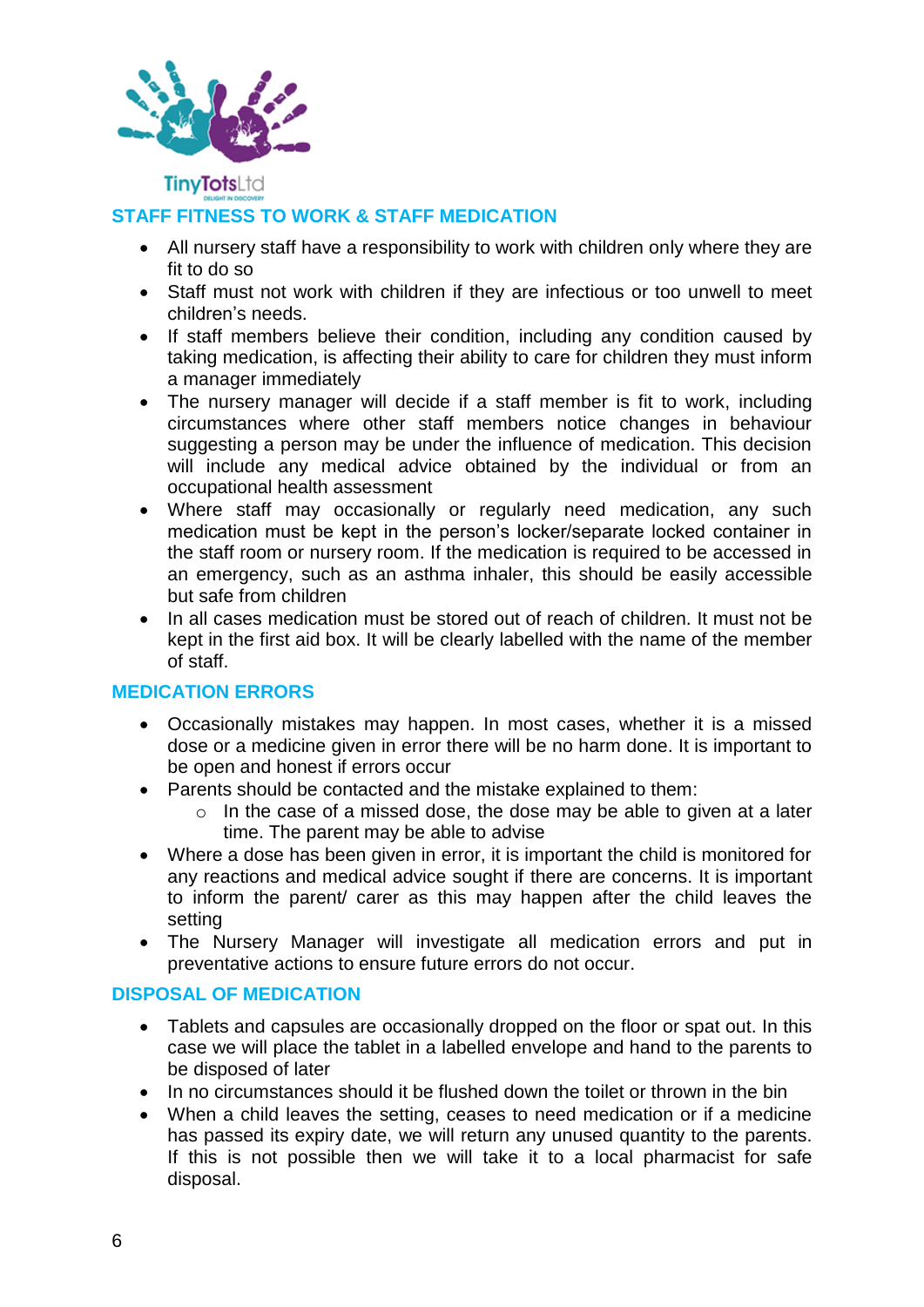

**TinyTots**Ltd

# **STAFF FITNESS TO WORK & STAFF MEDICATION**

- All nursery staff have a responsibility to work with children only where they are fit to do so
- Staff must not work with children if they are infectious or too unwell to meet children's needs.
- If staff members believe their condition, including any condition caused by taking medication, is affecting their ability to care for children they must inform a manager immediately
- The nursery manager will decide if a staff member is fit to work, including circumstances where other staff members notice changes in behaviour suggesting a person may be under the influence of medication. This decision will include any medical advice obtained by the individual or from an occupational health assessment
- Where staff may occasionally or regularly need medication, any such medication must be kept in the person's locker/separate locked container in the staff room or nursery room. If the medication is required to be accessed in an emergency, such as an asthma inhaler, this should be easily accessible but safe from children
- In all cases medication must be stored out of reach of children. It must not be kept in the first aid box. It will be clearly labelled with the name of the member of staff.

# **MEDICATION ERRORS**

- Occasionally mistakes may happen. In most cases, whether it is a missed dose or a medicine given in error there will be no harm done. It is important to be open and honest if errors occur
- Parents should be contacted and the mistake explained to them:
	- $\circ$  In the case of a missed dose, the dose may be able to given at a later time. The parent may be able to advise
- Where a dose has been given in error, it is important the child is monitored for any reactions and medical advice sought if there are concerns. It is important to inform the parent/ carer as this may happen after the child leaves the setting
- The Nursery Manager will investigate all medication errors and put in preventative actions to ensure future errors do not occur.

## **DISPOSAL OF MEDICATION**

- Tablets and capsules are occasionally dropped on the floor or spat out. In this case we will place the tablet in a labelled envelope and hand to the parents to be disposed of later
- In no circumstances should it be flushed down the toilet or thrown in the bin
- When a child leaves the setting, ceases to need medication or if a medicine has passed its expiry date, we will return any unused quantity to the parents. If this is not possible then we will take it to a local pharmacist for safe disposal.